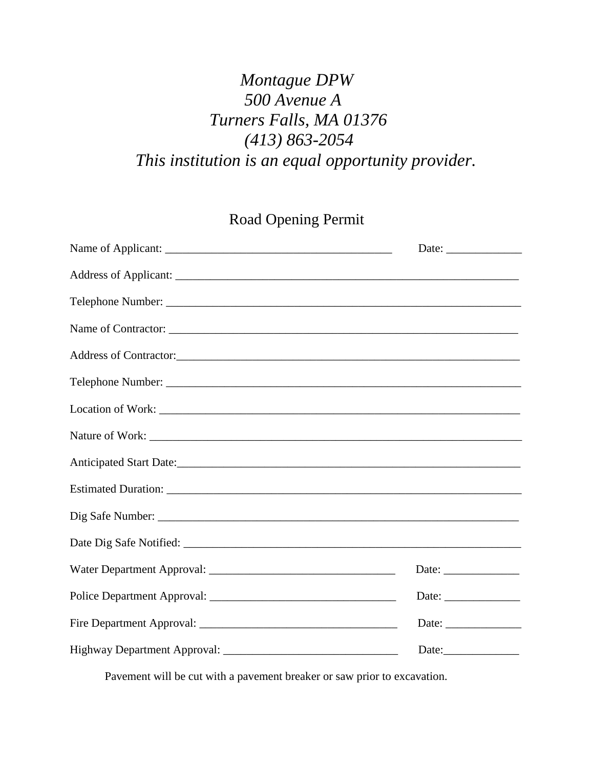## *Montague DPW 500 Avenue A Turners Falls, MA 01376 (413) 863-2054 This institution is an equal opportunity provider.*

Road Opening Permit

|                         | Date: $\_\_$                                             |
|-------------------------|----------------------------------------------------------|
|                         |                                                          |
|                         |                                                          |
|                         |                                                          |
|                         |                                                          |
|                         |                                                          |
|                         |                                                          |
|                         |                                                          |
| Anticipated Start Date: |                                                          |
|                         |                                                          |
|                         |                                                          |
|                         |                                                          |
|                         | Date: $\qquad \qquad$                                    |
|                         | Date:                                                    |
|                         | Date: $\frac{1}{\sqrt{1-\frac{1}{2}} \cdot \frac{1}{2}}$ |
|                         |                                                          |

Pavement will be cut with a pavement breaker or saw prior to excavation.